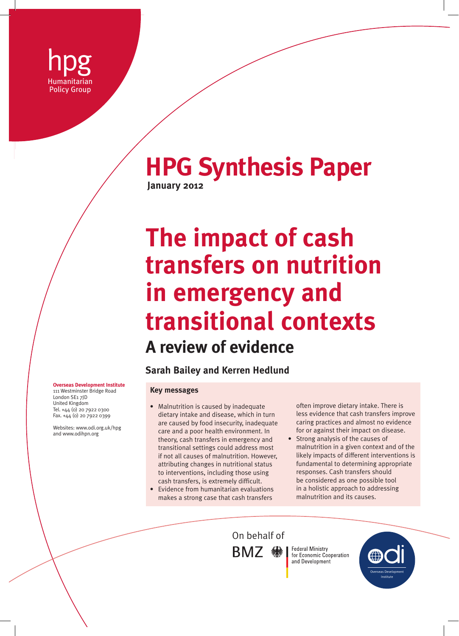

# **HPG Synthesis Paper January 2012**

**The impact of cash transfers on nutrition in emergency and transitional contexts A review of evidence**

**Sarah Bailey and Kerren Hedlund**

#### **Key messages**

- Malnutrition is caused by inadequate dietary intake and disease, which in turn are caused by food insecurity, inadequate care and a poor health environment. In theory, cash transfers in emergency and transitional settings could address most if not all causes of malnutrition. However, attributing changes in nutritional status to interventions, including those using cash transfers, is extremely difficult.
- Evidence from humanitarian evaluations makes a strong case that cash transfers

often improve dietary intake. There is less evidence that cash transfers improve caring practices and almost no evidence for or against their impact on disease.

• Strong analysis of the causes of malnutrition in a given context and of the likely impacts of different interventions is fundamental to determining appropriate responses. Cash transfers should be considered as one possible tool in a holistic approach to addressing malnutrition and its causes.

On behalf ofBMZ · ※

**Federal Ministry** 

and Development

for Economic Cooperation Overseas Development Institute

**Overseas Development Institute** 111 Westminster Bridge Road

London SE1 7JD United Kingdom Tel. +44 (0) 20 7922 0300 Fax. +44 (0) 20 7922 0399

Websites: www.odi.org.uk/hpg and www.odihpn.org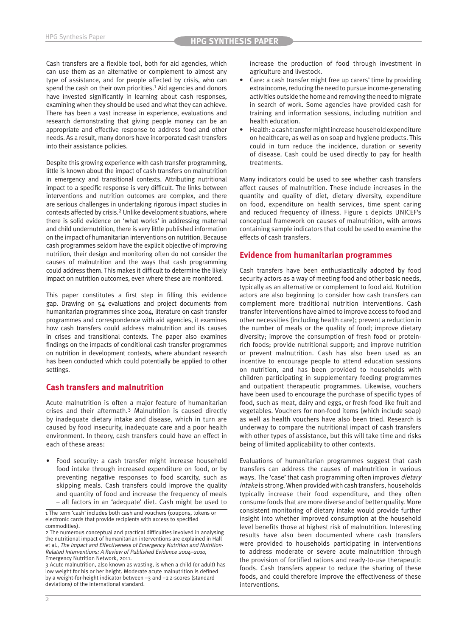Cash transfers are a flexible tool, both for aid agencies, which can use them as an alternative or complement to almost any type of assistance, and for people affected by crisis, who can spend the cash on their own priorities.<sup>1</sup> Aid agencies and donors have invested significantly in learning about cash responses, examining when they should be used and what they can achieve. There has been a vast increase in experience, evaluations and research demonstrating that giving people money can be an appropriate and effective response to address food and other needs. As a result, many donors have incorporated cash transfers into their assistance policies.

Despite this growing experience with cash transfer programming, little is known about the impact of cash transfers on malnutrition in emergency and transitional contexts. Attributing nutritional impact to a specific response is very difficult. The links between interventions and nutrition outcomes are complex, and there are serious challenges in undertaking rigorous impact studies in contexts affected by crisis.2 Unlike development situations, where there is solid evidence on 'what works' in addressing maternal and child undernutrition, there is very little published information on the impact of humanitarian interventions on nutrition. Because cash programmes seldom have the explicit objective of improving nutrition, their design and monitoring often do not consider the causes of malnutrition and the ways that cash programming could address them. This makes it difficult to determine the likely impact on nutrition outcomes, even where these are monitored.

This paper constitutes a first step in filling this evidence gap. Drawing on 54 evaluations and project documents from humanitarian programmes since 2004, literature on cash transfer programmes and correspondence with aid agencies, it examines how cash transfers could address malnutrition and its causes in crises and transitional contexts. The paper also examines findings on the impacts of conditional cash transfer programmes on nutrition in development contexts, where abundant research has been conducted which could potentially be applied to other settings.

## **Cash transfers and malnutrition**

Acute malnutrition is often a major feature of humanitarian crises and their aftermath.3 Malnutrition is caused directly by inadequate dietary intake and disease, which in turn are caused by food insecurity, inadequate care and a poor health environment. In theory, cash transfers could have an effect in each of these areas:

• Food security: a cash transfer might increase household food intake through increased expenditure on food, or by preventing negative responses to food scarcity, such as skipping meals. Cash transfers could improve the quality and quantity of food and increase the frequency of meals – all factors in an 'adequate' diet. Cash might be used to increase the production of food through investment in agriculture and livestock.

- Care: a cash transfer might free up carers' time by providing extra income, reducing the need to pursue income-generating activities outside the home and removing the need to migrate in search of work. Some agencies have provided cash for training and information sessions, including nutrition and health education.
- Health: a cash transfer might increase household expenditure on healthcare, as well as on soap and hygiene products. This could in turn reduce the incidence, duration or severity of disease. Cash could be used directly to pay for health treatments.

Many indicators could be used to see whether cash transfers affect causes of malnutrition. These include increases in the quantity and quality of diet, dietary diversity, expenditure on food, expenditure on health services, time spent caring and reduced frequency of illness. Figure 1 depicts UNICEF's conceptual framework on causes of malnutrition, with arrows containing sample indicators that could be used to examine the effects of cash transfers.

#### **Evidence from humanitarian programmes**

Cash transfers have been enthusiastically adopted by food security actors as a way of meeting food and other basic needs, typically as an alternative or complement to food aid. Nutrition actors are also beginning to consider how cash transfers can complement more traditional nutrition interventions. Cash transfer interventions have aimed to improve access to food and other necessities (including health care); prevent a reduction in the number of meals or the quality of food; improve dietary diversity; improve the consumption of fresh food or proteinrich foods; provide nutritional support; and improve nutrition or prevent malnutrition. Cash has also been used as an incentive to encourage people to attend education sessions on nutrition, and has been provided to households with children participating in supplementary feeding programmes and outpatient therapeutic programmes. Likewise, vouchers have been used to encourage the purchase of specific types of food, such as meat, dairy and eggs, or fresh food like fruit and vegetables. Vouchers for non-food items (which include soap) as well as health vouchers have also been tried. Research is underway to compare the nutritional impact of cash transfers with other types of assistance, but this will take time and risks being of limited applicability to other contexts.

Evaluations of humanitarian programmes suggest that cash transfers can address the causes of malnutrition in various ways. The 'case' that cash programming often improves dietary intake is strong. When provided with cash transfers, households typically increase their food expenditure, and they often consume foods that are more diverse and of better quality. More consistent monitoring of dietary intake would provide further insight into whether improved consumption at the household level benefits those at highest risk of malnutrition. Interesting results have also been documented where cash transfers were provided to households participating in interventions to address moderate or severe acute malnutrition through the provision of fortified rations and ready-to-use therapeutic foods. Cash transfers appear to reduce the sharing of these foods, and could therefore improve the effectiveness of these interventions.

<sup>1</sup> The term 'cash' includes both cash and vouchers (coupons, tokens or electronic cards that provide recipients with access to specified commodities).

<sup>2</sup> The numerous conceptual and practical difficulties involved in analysing the nutritional impact of humanitarian interventions are explained in Hall et al., The Impact and Effectiveness of Emergency Nutrition and Nutrition-Related Interventions: A Review of Published Evidence 2004–2010, Emergency Nutrition Network, 2011.

<sup>3</sup> Acute malnutrition, also known as wasting, is when a child (or adult) has low weight for his or her height. Moderate acute malnutrition is defined by a weight-for-height indicator between –3 and –2 z-scores (standard deviations) of the international standard.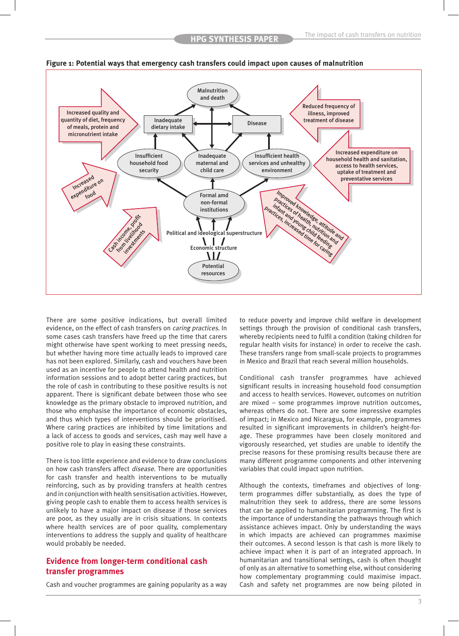

**Figure 1: Potential ways that emergency cash transfers could impact upon causes of malnutrition**

There are some positive indications, but overall limited evidence, on the effect of cash transfers on caring practices. In some cases cash transfers have freed up the time that carers might otherwise have spent working to meet pressing needs, but whether having more time actually leads to improved care has not been explored. Similarly, cash and vouchers have been used as an incentive for people to attend health and nutrition information sessions and to adopt better caring practices, but the role of cash in contributing to these positive results is not apparent. There is significant debate between those who see knowledge as the primary obstacle to improved nutrition, and those who emphasise the importance of economic obstacles, and thus which types of interventions should be prioritised. Where caring practices are inhibited by time limitations and a lack of access to goods and services, cash may well have a positive role to play in easing these constraints.

There is too little experience and evidence to draw conclusions on how cash transfers affect *disease*. There are opportunities for cash transfer and health interventions to be mutually reinforcing, such as by providing transfers at health centres and in conjunction with health sensitisation activities. However, giving people cash to enable them to access health services is unlikely to have a major impact on disease if those services are poor, as they usually are in crisis situations. In contexts where health services are of poor quality, complementary interventions to address the supply and quality of healthcare would probably be needed.

### **Evidence from longer-term conditional cash transfer programmes**

Cash and voucher programmes are gaining popularity as a way

to reduce poverty and improve child welfare in development settings through the provision of conditional cash transfers, whereby recipients need to fulfil a condition (taking children for regular health visits for instance) in order to receive the cash. These transfers range from small-scale projects to programmes in Mexico and Brazil that reach several million households.

Conditional cash transfer programmes have achieved significant results in increasing household food consumption and access to health services. However, outcomes on nutrition are mixed – some programmes improve nutrition outcomes, whereas others do not. There are some impressive examples of impact; in Mexico and Nicaragua, for example, programmes resulted in significant improvements in children's height-forage. These programmes have been closely monitored and vigorously researched, yet studies are unable to identify the precise reasons for these promising results because there are many different programme components and other intervening variables that could impact upon nutrition.

Although the contexts, timeframes and objectives of longterm programmes differ substantially, as does the type of malnutrition they seek to address, there are some lessons that can be applied to humanitarian programming. The first is the importance of understanding the pathways through which assistance achieves impact. Only by understanding the ways in which impacts are achieved can programmes maximise their outcomes. A second lesson is that cash is more likely to achieve impact when it is part of an integrated approach. In humanitarian and transitional settings, cash is often thought of only as an alternative to something else, without considering how complementary programming could maximise impact. Cash and safety net programmes are now being piloted in